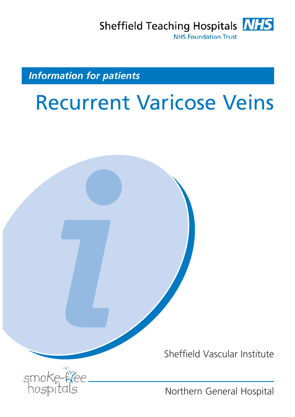Sheffield Teaching Hospitals **NHS NHS Foundation Trust** 

*Information for patients*

# Recurrent Varicose Veins



Sheffield Vascular Institute



Northern General Hospital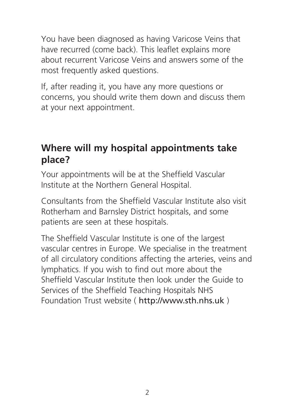You have been diagnosed as having Varicose Veins that have recurred (come back). This leaflet explains more about recurrent Varicose Veins and answers some of the most frequently asked questions.

If, after reading it, you have any more questions or concerns, you should write them down and discuss them at your next appointment.

#### **Where will my hospital appointments take place?**

Your appointments will be at the Sheffield Vascular Institute at the Northern General Hospital.

Consultants from the Sheffield Vascular Institute also visit Rotherham and Barnsley District hospitals, and some patients are seen at these hospitals.

The Sheffield Vascular Institute is one of the largest vascular centres in Europe. We specialise in the treatment of all circulatory conditions affecting the arteries, veins and lymphatics. If you wish to find out more about the Sheffield Vascular Institute then look under the Guide to Services of the Sheffield Teaching Hospitals NHS Foundation Trust website ( http://www.sth.nhs.uk )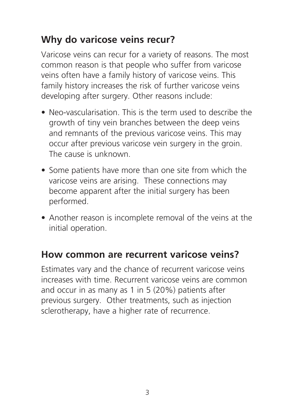#### **Why do varicose veins recur?**

Varicose veins can recur for a variety of reasons. The most common reason is that people who suffer from varicose veins often have a family history of varicose veins. This family history increases the risk of further varicose veins developing after surgery. Other reasons include:

- Neo-vascularisation. This is the term used to describe the growth of tiny vein branches between the deep veins and remnants of the previous varicose veins. This may occur after previous varicose vein surgery in the groin. The cause is unknown.
- Some patients have more than one site from which the varicose veins are arising. These connections may become apparent after the initial surgery has been performed.
- Another reason is incomplete removal of the veins at the initial operation.

#### **How common are recurrent varicose veins?**

Estimates vary and the chance of recurrent varicose veins increases with time. Recurrent varicose veins are common and occur in as many as 1 in 5 (20%) patients after previous surgery. Other treatments, such as injection sclerotherapy, have a higher rate of recurrence.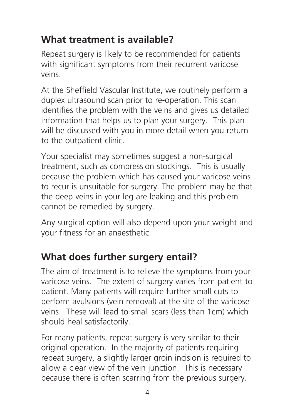## **What treatment is available?**

Repeat surgery is likely to be recommended for patients with significant symptoms from their recurrent varicose veins.

At the Sheffield Vascular Institute, we routinely perform a duplex ultrasound scan prior to re-operation. This scan identifies the problem with the veins and gives us detailed information that helps us to plan your surgery. This plan will be discussed with you in more detail when you return to the outpatient clinic.

Your specialist may sometimes suggest a non-surgical treatment, such as compression stockings. This is usually because the problem which has caused your varicose veins to recur is unsuitable for surgery. The problem may be that the deep veins in your leg are leaking and this problem cannot be remedied by surgery.

Any surgical option will also depend upon your weight and your fitness for an anaesthetic.

#### **What does further surgery entail?**

The aim of treatment is to relieve the symptoms from your varicose veins. The extent of surgery varies from patient to patient. Many patients will require further small cuts to perform avulsions (vein removal) at the site of the varicose veins. These will lead to small scars (less than 1cm) which should heal satisfactorily.

For many patients, repeat surgery is very similar to their original operation. In the majority of patients requiring repeat surgery, a slightly larger groin incision is required to allow a clear view of the vein junction. This is necessary because there is often scarring from the previous surgery.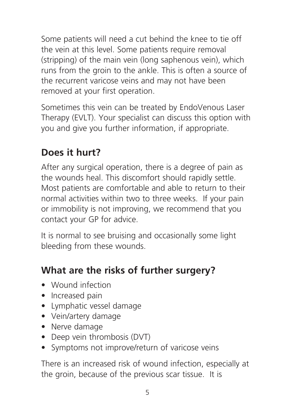Some patients will need a cut behind the knee to tie off the vein at this level. Some patients require removal (stripping) of the main vein (long saphenous vein), which runs from the groin to the ankle. This is often a source of the recurrent varicose veins and may not have been removed at your first operation.

Sometimes this vein can be treated by EndoVenous Laser Therapy (EVLT). Your specialist can discuss this option with you and give you further information, if appropriate.

# **Does it hurt?**

After any surgical operation, there is a degree of pain as the wounds heal. This discomfort should rapidly settle. Most patients are comfortable and able to return to their normal activities within two to three weeks. If your pain or immobility is not improving, we recommend that you contact your GP for advice.

It is normal to see bruising and occasionally some light bleeding from these wounds.

## **What are the risks of further surgery?**

- Wound infection
- Increased pain
- Lymphatic vessel damage
- Vein/artery damage
- Nerve damage
- Deep vein thrombosis (DVT)
- Symptoms not improve/return of varicose veins

There is an increased risk of wound infection, especially at the groin, because of the previous scar tissue. It is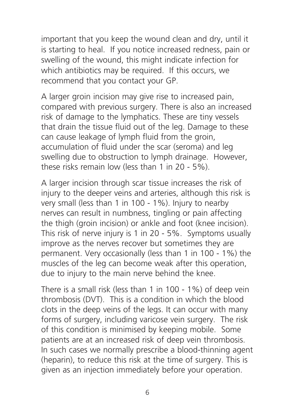important that you keep the wound clean and dry, until it is starting to heal. If you notice increased redness, pain or swelling of the wound, this might indicate infection for which antibiotics may be required. If this occurs, we recommend that you contact your GP.

A larger groin incision may give rise to increased pain, compared with previous surgery. There is also an increased risk of damage to the lymphatics. These are tiny vessels that drain the tissue fluid out of the leg. Damage to these can cause leakage of lymph fluid from the groin, accumulation of fluid under the scar (seroma) and leg swelling due to obstruction to lymph drainage. However, these risks remain low (less than 1 in 20 - 5%).

A larger incision through scar tissue increases the risk of injury to the deeper veins and arteries, although this risk is very small (less than 1 in 100 - 1%). Injury to nearby nerves can result in numbness, tingling or pain affecting the thigh (groin incision) or ankle and foot (knee incision). This risk of nerve injury is 1 in 20 - 5%. Symptoms usually improve as the nerves recover but sometimes they are permanent. Very occasionally (less than 1 in 100 - 1%) the muscles of the leg can become weak after this operation, due to injury to the main nerve behind the knee.

There is a small risk (less than 1 in 100 - 1%) of deep vein thrombosis (DVT). This is a condition in which the blood clots in the deep veins of the legs. It can occur with many forms of surgery, including varicose vein surgery. The risk of this condition is minimised by keeping mobile. Some patients are at an increased risk of deep vein thrombosis. In such cases we normally prescribe a blood-thinning agent (heparin), to reduce this risk at the time of surgery. This is given as an injection immediately before your operation.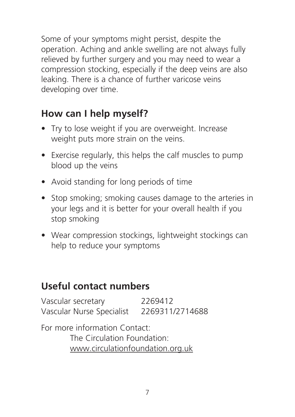Some of your symptoms might persist, despite the operation. Aching and ankle swelling are not always fully relieved by further surgery and you may need to wear a compression stocking, especially if the deep veins are also leaking. There is a chance of further varicose veins developing over time.

#### **How can I help myself?**

- Try to lose weight if you are overweight. Increase weight puts more strain on the veins.
- Exercise regularly, this helps the calf muscles to pump blood up the veins
- Avoid standing for long periods of time
- Stop smoking; smoking causes damage to the arteries in your legs and it is better for your overall health if you stop smoking
- Wear compression stockings, lightweight stockings can help to reduce your symptoms

#### **Useful contact numbers**

Vascular secretary 2269412 Vascular Nurse Specialist 2269311/2714688

For more information Contact: The Circulation Foundation: www.circulationfoundation.org.uk